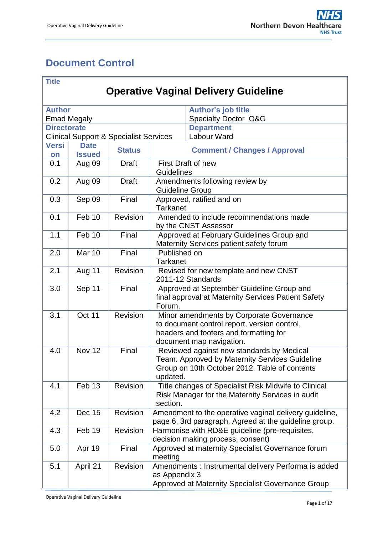# <span id="page-0-0"></span>**Document Control**

| <b>Title</b>                                |                                                   |               |                                                                                                                                                                |                                                                                      |  |  |  |  |  |
|---------------------------------------------|---------------------------------------------------|---------------|----------------------------------------------------------------------------------------------------------------------------------------------------------------|--------------------------------------------------------------------------------------|--|--|--|--|--|
| <b>Operative Vaginal Delivery Guideline</b> |                                                   |               |                                                                                                                                                                |                                                                                      |  |  |  |  |  |
|                                             |                                                   |               |                                                                                                                                                                |                                                                                      |  |  |  |  |  |
| <b>Author's job title</b><br><b>Author</b>  |                                                   |               |                                                                                                                                                                |                                                                                      |  |  |  |  |  |
|                                             | <b>Emad Megaly</b>                                |               |                                                                                                                                                                | <b>Specialty Doctor O&amp;G</b>                                                      |  |  |  |  |  |
| <b>Directorate</b>                          |                                                   |               |                                                                                                                                                                | <b>Department</b>                                                                    |  |  |  |  |  |
|                                             | <b>Clinical Support &amp; Specialist Services</b> |               |                                                                                                                                                                | Labour Ward                                                                          |  |  |  |  |  |
| <b>Versi</b><br>on                          | <b>Date</b><br><b>Issued</b>                      | <b>Status</b> | <b>Comment / Changes / Approval</b>                                                                                                                            |                                                                                      |  |  |  |  |  |
| 0.1                                         | Aug 09                                            | <b>Draft</b>  | Guidelines                                                                                                                                                     | First Draft of new                                                                   |  |  |  |  |  |
| 0.2                                         | Aug 09                                            | <b>Draft</b>  | <b>Guideline Group</b>                                                                                                                                         | Amendments following review by                                                       |  |  |  |  |  |
| 0.3                                         | Sep 09                                            | Final         | <b>Tarkanet</b>                                                                                                                                                | Approved, ratified and on                                                            |  |  |  |  |  |
| 0.1                                         | Feb 10                                            | Revision      |                                                                                                                                                                | Amended to include recommendations made<br>by the CNST Assessor                      |  |  |  |  |  |
| 1.1                                         | Feb 10                                            | Final         |                                                                                                                                                                | Approved at February Guidelines Group and<br>Maternity Services patient safety forum |  |  |  |  |  |
| 2.0                                         | <b>Mar 10</b>                                     | Final         | Published on<br><b>Tarkanet</b>                                                                                                                                |                                                                                      |  |  |  |  |  |
| 2.1                                         | Aug 11                                            | Revision      |                                                                                                                                                                | Revised for new template and new CNST<br>2011-12 Standards                           |  |  |  |  |  |
| 3.0                                         | Sep 11                                            | Final         | Approved at September Guideline Group and<br>final approval at Maternity Services Patient Safety<br>Forum.                                                     |                                                                                      |  |  |  |  |  |
| 3.1                                         | Oct 11                                            | Revision      | Minor amendments by Corporate Governance<br>to document control report, version control,<br>headers and footers and formatting for<br>document map navigation. |                                                                                      |  |  |  |  |  |
| 4.0                                         | Nov 12                                            | Final         | Reviewed against new standards by Medical<br>Team. Approved by Maternity Services Guideline<br>Group on 10th October 2012. Table of contents<br>updated.       |                                                                                      |  |  |  |  |  |
| 4.1                                         | Feb 13                                            | Revision      | Title changes of Specialist Risk Midwife to Clinical<br>Risk Manager for the Maternity Services in audit<br>section.                                           |                                                                                      |  |  |  |  |  |
| 4.2                                         | <b>Dec 15</b>                                     | Revision      | Amendment to the operative vaginal delivery guideline,<br>page 6, 3rd paragraph. Agreed at the guideline group.                                                |                                                                                      |  |  |  |  |  |
| 4.3                                         | Feb 19                                            | Revision      |                                                                                                                                                                | Harmonise with RD&E guideline (pre-requisites,<br>decision making process, consent)  |  |  |  |  |  |
| 5.0                                         | Apr 19                                            | Final         | meeting                                                                                                                                                        | Approved at maternity Specialist Governance forum                                    |  |  |  |  |  |
| 5.1                                         | April 21                                          | Revision      | Amendments : Instrumental delivery Performa is added<br>as Appendix 3<br>Approved at Maternity Specialist Governance Group                                     |                                                                                      |  |  |  |  |  |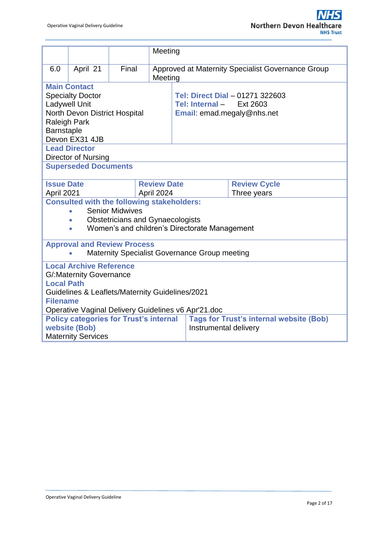|                                                     |                                                   |                        |                                         | Meeting                                           |                                                |  |  |  |  |
|-----------------------------------------------------|---------------------------------------------------|------------------------|-----------------------------------------|---------------------------------------------------|------------------------------------------------|--|--|--|--|
| 6.0                                                 | April 21                                          | Final                  | Meeting                                 | Approved at Maternity Specialist Governance Group |                                                |  |  |  |  |
|                                                     | <b>Main Contact</b>                               |                        |                                         |                                                   |                                                |  |  |  |  |
|                                                     | <b>Specialty Doctor</b>                           |                        |                                         |                                                   | Tel: Direct Dial - 01271 322603                |  |  |  |  |
|                                                     | <b>Ladywell Unit</b>                              |                        |                                         | Tel: Internal -                                   | Ext 2603                                       |  |  |  |  |
|                                                     | North Devon District Hospital                     |                        |                                         | Email: emad.megaly@nhs.net                        |                                                |  |  |  |  |
| <b>Raleigh Park</b>                                 |                                                   |                        |                                         |                                                   |                                                |  |  |  |  |
| Barnstaple                                          |                                                   |                        |                                         |                                                   |                                                |  |  |  |  |
|                                                     | Devon EX31 4JB                                    |                        |                                         |                                                   |                                                |  |  |  |  |
|                                                     | <b>Lead Director</b>                              |                        |                                         |                                                   |                                                |  |  |  |  |
|                                                     | <b>Director of Nursing</b>                        |                        |                                         |                                                   |                                                |  |  |  |  |
|                                                     | <b>Superseded Documents</b>                       |                        |                                         |                                                   |                                                |  |  |  |  |
| <b>Issue Date</b>                                   |                                                   |                        | <b>Review Date</b>                      |                                                   | <b>Review Cycle</b>                            |  |  |  |  |
| April 2021                                          |                                                   | April 2024             |                                         |                                                   | Three years                                    |  |  |  |  |
|                                                     | <b>Consulted with the following stakeholders:</b> |                        |                                         |                                                   |                                                |  |  |  |  |
|                                                     |                                                   | <b>Senior Midwives</b> |                                         |                                                   |                                                |  |  |  |  |
|                                                     | $\bullet$                                         |                        | <b>Obstetricians and Gynaecologists</b> |                                                   |                                                |  |  |  |  |
|                                                     | $\bullet$                                         |                        |                                         | Women's and children's Directorate Management     |                                                |  |  |  |  |
|                                                     | <b>Approval and Review Process</b>                |                        |                                         |                                                   |                                                |  |  |  |  |
|                                                     |                                                   |                        |                                         | Maternity Specialist Governance Group meeting     |                                                |  |  |  |  |
|                                                     | <b>Local Archive Reference</b>                    |                        |                                         |                                                   |                                                |  |  |  |  |
|                                                     | <b>G/:Maternity Governance</b>                    |                        |                                         |                                                   |                                                |  |  |  |  |
| <b>Local Path</b>                                   |                                                   |                        |                                         |                                                   |                                                |  |  |  |  |
|                                                     | Guidelines & Leaflets/Maternity Guidelines/2021   |                        |                                         |                                                   |                                                |  |  |  |  |
| <b>Filename</b>                                     |                                                   |                        |                                         |                                                   |                                                |  |  |  |  |
| Operative Vaginal Delivery Guidelines v6 Apr'21.doc |                                                   |                        |                                         |                                                   |                                                |  |  |  |  |
|                                                     | <b>Policy categories for Trust's internal</b>     |                        |                                         |                                                   | <b>Tags for Trust's internal website (Bob)</b> |  |  |  |  |
|                                                     | website (Bob)<br>Instrumental delivery            |                        |                                         |                                                   |                                                |  |  |  |  |
|                                                     | <b>Maternity Services</b>                         |                        |                                         |                                                   |                                                |  |  |  |  |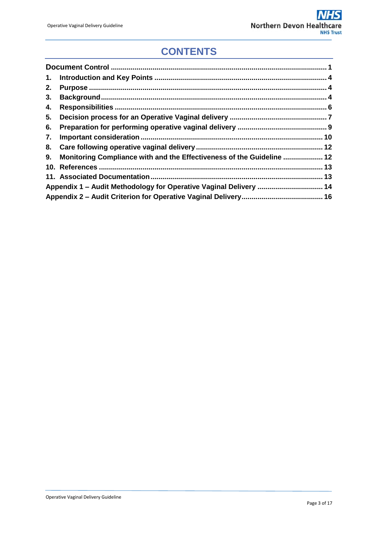# **CONTENTS**

| 1. |                                                                       |  |
|----|-----------------------------------------------------------------------|--|
| 2. |                                                                       |  |
| 3. |                                                                       |  |
| 4. |                                                                       |  |
| 5. |                                                                       |  |
| 6. |                                                                       |  |
| 7. |                                                                       |  |
|    |                                                                       |  |
| 9. | Monitoring Compliance with and the Effectiveness of the Guideline  12 |  |
|    |                                                                       |  |
|    |                                                                       |  |
|    | Appendix 1 - Audit Methodology for Operative Vaginal Delivery  14     |  |
|    |                                                                       |  |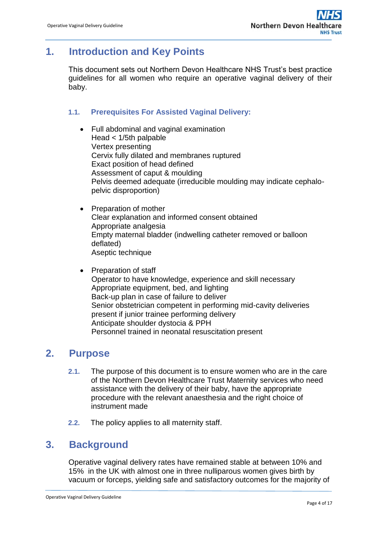# <span id="page-3-0"></span>**1. Introduction and Key Points**

This document sets out Northern Devon Healthcare NHS Trust's best practice guidelines for all women who require an operative vaginal delivery of their baby.

## **1.1. Prerequisites For Assisted Vaginal Delivery:**

- Full abdominal and vaginal examination Head < 1/5th palpable Vertex presenting Cervix fully dilated and membranes ruptured Exact position of head defined Assessment of caput & moulding Pelvis deemed adequate (irreducible moulding may indicate cephalopelvic disproportion)
- Preparation of mother Clear explanation and informed consent obtained Appropriate analgesia Empty maternal bladder (indwelling catheter removed or balloon deflated) Aseptic technique
- Preparation of staff Operator to have knowledge, experience and skill necessary Appropriate equipment, bed, and lighting Back-up plan in case of failure to deliver Senior obstetrician competent in performing mid-cavity deliveries present if junior trainee performing delivery Anticipate shoulder dystocia & PPH Personnel trained in neonatal resuscitation present

# <span id="page-3-1"></span>**2. Purpose**

- **2.1.** The purpose of this document is to ensure women who are in the care of the Northern Devon Healthcare Trust Maternity services who need assistance with the delivery of their baby, have the appropriate procedure with the relevant anaesthesia and the right choice of instrument made
- **2.2.** The policy applies to all maternity staff.

## <span id="page-3-2"></span>**3. Background**

Operative vaginal delivery rates have remained stable at between 10% and 15% in the UK with almost one in three nulliparous women gives birth by vacuum or forceps, yielding safe and satisfactory outcomes for the majority of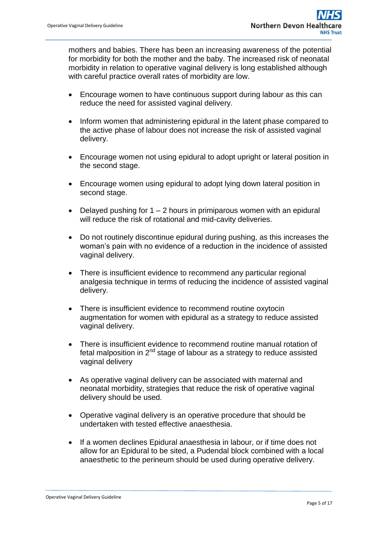mothers and babies. There has been an increasing awareness of the potential for morbidity for both the mother and the baby. The increased risk of neonatal morbidity in relation to operative vaginal delivery is long established although with careful practice overall rates of morbidity are low.

- Encourage women to have continuous support during labour as this can reduce the need for assisted vaginal delivery.
- Inform women that administering epidural in the latent phase compared to the active phase of labour does not increase the risk of assisted vaginal delivery.
- Encourage women not using epidural to adopt upright or lateral position in the second stage.
- Encourage women using epidural to adopt lying down lateral position in second stage.
- Delayed pushing for  $1 2$  hours in primiparous women with an epidural will reduce the risk of rotational and mid-cavity deliveries.
- Do not routinely discontinue epidural during pushing, as this increases the woman's pain with no evidence of a reduction in the incidence of assisted vaginal delivery.
- There is insufficient evidence to recommend any particular regional analgesia technique in terms of reducing the incidence of assisted vaginal delivery.
- There is insufficient evidence to recommend routine oxytocin augmentation for women with epidural as a strategy to reduce assisted vaginal delivery.
- There is insufficient evidence to recommend routine manual rotation of fetal malposition in  $2<sup>nd</sup>$  stage of labour as a strategy to reduce assisted vaginal delivery
- As operative vaginal delivery can be associated with maternal and neonatal morbidity, strategies that reduce the risk of operative vaginal delivery should be used.
- Operative vaginal delivery is an operative procedure that should be undertaken with tested effective anaesthesia.
- If a women declines Epidural anaesthesia in labour, or if time does not allow for an Epidural to be sited, a Pudendal block combined with a local anaesthetic to the perineum should be used during operative delivery.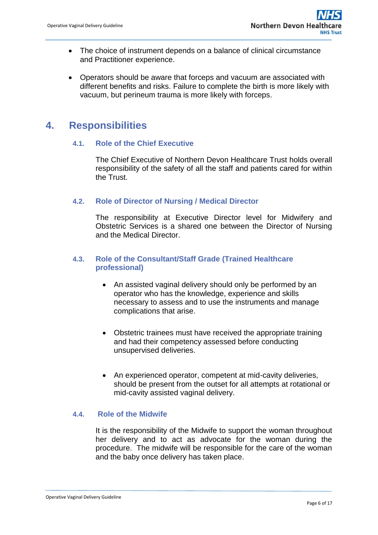- The choice of instrument depends on a balance of clinical circumstance and Practitioner experience.
- Operators should be aware that forceps and vacuum are associated with different benefits and risks. Failure to complete the birth is more likely with vacuum, but perineum trauma is more likely with forceps.

## <span id="page-5-0"></span>**4. Responsibilities**

## **4.1. Role of the Chief Executive**

The Chief Executive of Northern Devon Healthcare Trust holds overall responsibility of the safety of all the staff and patients cared for within the Trust.

## **4.2. Role of Director of Nursing / Medical Director**

The responsibility at Executive Director level for Midwifery and Obstetric Services is a shared one between the Director of Nursing and the Medical Director.

## **4.3. Role of the Consultant/Staff Grade (Trained Healthcare professional)**

- An assisted vaginal delivery should only be performed by an operator who has the knowledge, experience and skills necessary to assess and to use the instruments and manage complications that arise.
- Obstetric trainees must have received the appropriate training and had their competency assessed before conducting unsupervised deliveries.
- An experienced operator, competent at mid-cavity deliveries, should be present from the outset for all attempts at rotational or mid-cavity assisted vaginal delivery.

## **4.4. Role of the Midwife**

It is the responsibility of the Midwife to support the woman throughout her delivery and to act as advocate for the woman during the procedure. The midwife will be responsible for the care of the woman and the baby once delivery has taken place.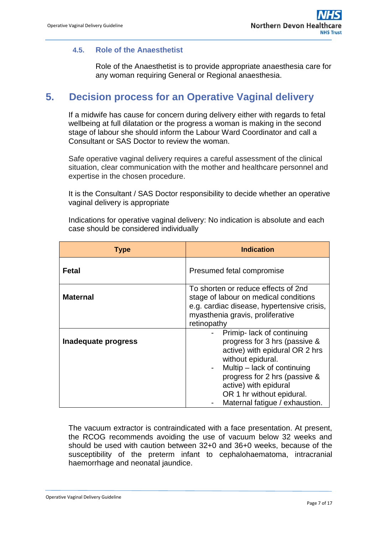## **4.5. Role of the Anaesthetist**

Role of the Anaesthetist is to provide appropriate anaesthesia care for any woman requiring General or Regional anaesthesia.

# <span id="page-6-0"></span>**5. Decision process for an Operative Vaginal delivery**

If a midwife has cause for concern during delivery either with regards to fetal wellbeing at full dilatation or the progress a woman is making in the second stage of labour she should inform the Labour Ward Coordinator and call a Consultant or SAS Doctor to review the woman.

Safe operative vaginal delivery requires a careful assessment of the clinical situation, clear communication with the mother and healthcare personnel and expertise in the chosen procedure.

It is the Consultant / SAS Doctor responsibility to decide whether an operative vaginal delivery is appropriate

Indications for operative vaginal delivery: No indication is absolute and each case should be considered individually

| <b>Type</b>         | <b>Indication</b>                                                                                                                                                                                                                                                          |  |  |  |
|---------------------|----------------------------------------------------------------------------------------------------------------------------------------------------------------------------------------------------------------------------------------------------------------------------|--|--|--|
| Fetal               | Presumed fetal compromise<br>To shorten or reduce effects of 2nd<br>stage of labour on medical conditions<br>e.g. cardiac disease, hypertensive crisis,<br>myasthenia gravis, proliferative<br>retinopathy                                                                 |  |  |  |
| <b>Maternal</b>     |                                                                                                                                                                                                                                                                            |  |  |  |
| Inadequate progress | Primip- lack of continuing<br>progress for 3 hrs (passive &<br>active) with epidural OR 2 hrs<br>without epidural.<br>Multip – lack of continuing<br>progress for 2 hrs (passive &<br>active) with epidural<br>OR 1 hr without epidural.<br>Maternal fatigue / exhaustion. |  |  |  |

The vacuum extractor is contraindicated with a face presentation. At present, the RCOG recommends avoiding the use of vacuum below 32 weeks and should be used with caution between 32+0 and 36+0 weeks, because of the susceptibility of the preterm infant to cephalohaematoma, intracranial haemorrhage and neonatal jaundice.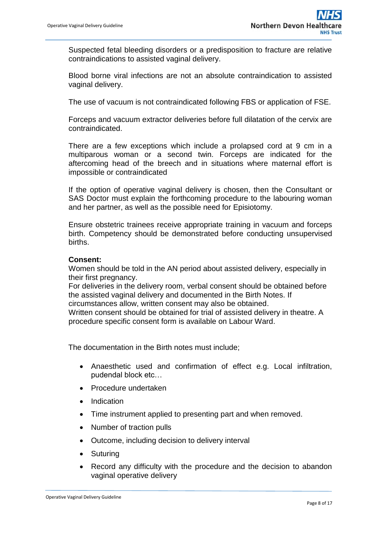Suspected fetal bleeding disorders or a predisposition to fracture are relative contraindications to assisted vaginal delivery.

Blood borne viral infections are not an absolute contraindication to assisted vaginal delivery.

The use of vacuum is not contraindicated following FBS or application of FSE.

Forceps and vacuum extractor deliveries before full dilatation of the cervix are contraindicated.

There are a few exceptions which include a prolapsed cord at 9 cm in a multiparous woman or a second twin. Forceps are indicated for the aftercoming head of the breech and in situations where maternal effort is impossible or contraindicated

If the option of operative vaginal delivery is chosen, then the Consultant or SAS Doctor must explain the forthcoming procedure to the labouring woman and her partner, as well as the possible need for Episiotomy.

Ensure obstetric trainees receive appropriate training in vacuum and forceps birth. Competency should be demonstrated before conducting unsupervised births.

## **Consent:**

Women should be told in the AN period about assisted delivery, especially in their first pregnancy.

For deliveries in the delivery room, verbal consent should be obtained before the assisted vaginal delivery and documented in the Birth Notes. If

circumstances allow, written consent may also be obtained.

Written consent should be obtained for trial of assisted delivery in theatre. A procedure specific consent form is available on Labour Ward.

The documentation in the Birth notes must include;

- Anaesthetic used and confirmation of effect e.g. Local infiltration, pudendal block etc…
- Procedure undertaken
- Indication
- Time instrument applied to presenting part and when removed.
- Number of traction pulls
- Outcome, including decision to delivery interval
- Suturing
- Record any difficulty with the procedure and the decision to abandon vaginal operative delivery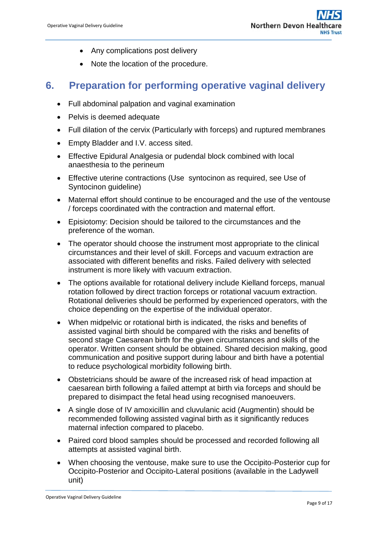- Any complications post delivery
- Note the location of the procedure.

# <span id="page-8-0"></span>**6. Preparation for performing operative vaginal delivery**

- Full abdominal palpation and vaginal examination
- Pelvis is deemed adequate
- Full dilation of the cervix (Particularly with forceps) and ruptured membranes
- Empty Bladder and I.V. access sited.
- Effective Epidural Analgesia or pudendal block combined with local anaesthesia to the perineum
- Effective uterine contractions (Use syntocinon as required, see Use of Syntocinon guideline)
- Maternal effort should continue to be encouraged and the use of the ventouse / forceps coordinated with the contraction and maternal effort.
- Episiotomy: Decision should be tailored to the circumstances and the preference of the woman.
- The operator should choose the instrument most appropriate to the clinical circumstances and their level of skill. Forceps and vacuum extraction are associated with different benefits and risks. Failed delivery with selected instrument is more likely with vacuum extraction.
- The options available for rotational delivery include Kielland forceps, manual rotation followed by direct traction forceps or rotational vacuum extraction. Rotational deliveries should be performed by experienced operators, with the choice depending on the expertise of the individual operator.
- When midpelvic or rotational birth is indicated, the risks and benefits of assisted vaginal birth should be compared with the risks and benefits of second stage Caesarean birth for the given circumstances and skills of the operator. Written consent should be obtained. Shared decision making, good communication and positive support during labour and birth have a potential to reduce psychological morbidity following birth.
- Obstetricians should be aware of the increased risk of head impaction at caesarean birth following a failed attempt at birth via forceps and should be prepared to disimpact the fetal head using recognised manoeuvers.
- A single dose of IV amoxicillin and cluvulanic acid (Augmentin) should be recommended following assisted vaginal birth as it significantly reduces maternal infection compared to placebo.
- Paired cord blood samples should be processed and recorded following all attempts at assisted vaginal birth.
- When choosing the ventouse, make sure to use the Occipito-Posterior cup for Occipito-Posterior and Occipito-Lateral positions (available in the Ladywell unit)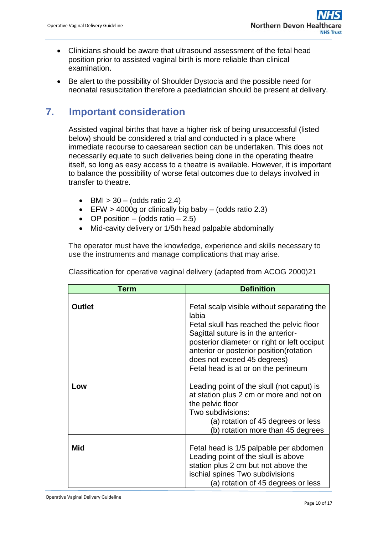- Clinicians should be aware that ultrasound assessment of the fetal head position prior to assisted vaginal birth is more reliable than clinical examination.
- Be alert to the possibility of Shoulder Dystocia and the possible need for neonatal resuscitation therefore a paediatrician should be present at delivery.

# <span id="page-9-0"></span>**7. Important consideration**

Assisted vaginal births that have a higher risk of being unsuccessful (listed below) should be considered a trial and conducted in a place where immediate recourse to caesarean section can be undertaken. This does not necessarily equate to such deliveries being done in the operating theatre itself, so long as easy access to a theatre is available. However, it is important to balance the possibility of worse fetal outcomes due to delays involved in transfer to theatre.

- $\bullet$  BMI  $> 30 (odds ratio 2.4)$
- EFW > 4000g or clinically big baby (odds ratio 2.3)
- $\bullet$  OP position (odds ratio 2.5)
- Mid-cavity delivery or 1/5th head palpable abdominally

The operator must have the knowledge, experience and skills necessary to use the instruments and manage complications that may arise.

| Term          | <b>Definition</b>                                                                                                                                                                                                                                                                                       |  |  |  |
|---------------|---------------------------------------------------------------------------------------------------------------------------------------------------------------------------------------------------------------------------------------------------------------------------------------------------------|--|--|--|
| <b>Outlet</b> | Fetal scalp visible without separating the<br>labia<br>Fetal skull has reached the pelvic floor<br>Sagittal suture is in the anterior-<br>posterior diameter or right or left occiput<br>anterior or posterior position (rotation<br>does not exceed 45 degrees)<br>Fetal head is at or on the perineum |  |  |  |
| Low           | Leading point of the skull (not caput) is<br>at station plus 2 cm or more and not on<br>the pelvic floor<br>Two subdivisions:<br>(a) rotation of 45 degrees or less<br>(b) rotation more than 45 degrees                                                                                                |  |  |  |
| Mid           | Fetal head is 1/5 palpable per abdomen<br>Leading point of the skull is above<br>station plus 2 cm but not above the<br>ischial spines Two subdivisions<br>(a) rotation of 45 degrees or less                                                                                                           |  |  |  |

Classification for operative vaginal delivery (adapted from ACOG 2000)21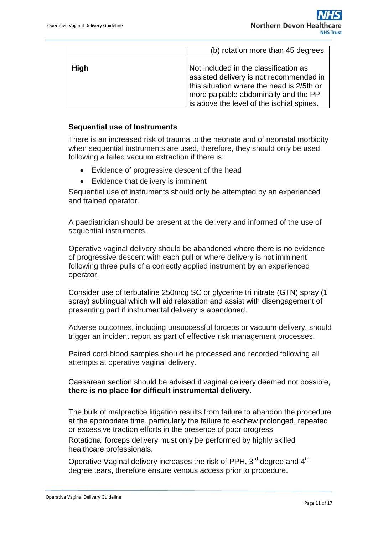|             | (b) rotation more than 45 degrees                                                                                                                                                                                  |  |  |  |  |
|-------------|--------------------------------------------------------------------------------------------------------------------------------------------------------------------------------------------------------------------|--|--|--|--|
| <b>High</b> | Not included in the classification as<br>assisted delivery is not recommended in<br>this situation where the head is 2/5th or<br>more palpable abdominally and the PP<br>is above the level of the ischial spines. |  |  |  |  |

### **Sequential use of Instruments**

There is an increased risk of trauma to the neonate and of neonatal morbidity when sequential instruments are used, therefore, they should only be used following a failed vacuum extraction if there is:

- Evidence of progressive descent of the head
- Evidence that delivery is imminent

Sequential use of instruments should only be attempted by an experienced and trained operator.

A paediatrician should be present at the delivery and informed of the use of sequential instruments.

Operative vaginal delivery should be abandoned where there is no evidence of progressive descent with each pull or where delivery is not imminent following three pulls of a correctly applied instrument by an experienced operator.

Consider use of terbutaline 250mcg SC or glycerine tri nitrate (GTN) spray (1 spray) sublingual which will aid relaxation and assist with disengagement of presenting part if instrumental delivery is abandoned.

Adverse outcomes, including unsuccessful forceps or vacuum delivery, should trigger an incident report as part of effective risk management processes.

Paired cord blood samples should be processed and recorded following all attempts at operative vaginal delivery.

Caesarean section should be advised if vaginal delivery deemed not possible, **there is no place for difficult instrumental delivery.** 

The bulk of malpractice litigation results from failure to abandon the procedure at the appropriate time, particularly the failure to eschew prolonged, repeated or excessive traction efforts in the presence of poor progress

Rotational forceps delivery must only be performed by highly skilled healthcare professionals.

Operative Vaginal delivery increases the risk of PPH, 3<sup>rd</sup> degree and 4<sup>th</sup> degree tears, therefore ensure venous access prior to procedure.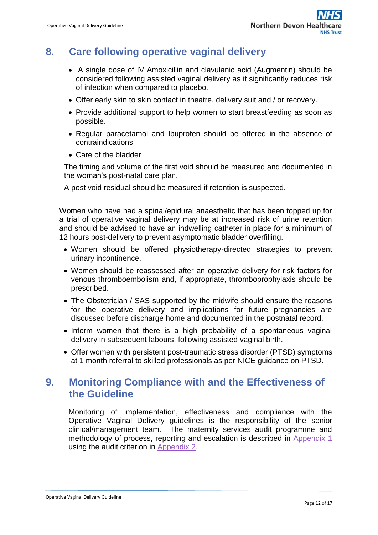# <span id="page-11-0"></span>**8. Care following operative vaginal delivery**

- A single dose of IV Amoxicillin and clavulanic acid (Augmentin) should be considered following assisted vaginal delivery as it significantly reduces risk of infection when compared to placebo.
- Offer early skin to skin contact in theatre, delivery suit and / or recovery.
- Provide additional support to help women to start breastfeeding as soon as possible.
- Regular paracetamol and Ibuprofen should be offered in the absence of contraindications
- Care of the bladder

The timing and volume of the first void should be measured and documented in the woman's post-natal care plan.

A post void residual should be measured if retention is suspected.

Women who have had a spinal/epidural anaesthetic that has been topped up for a trial of operative vaginal delivery may be at increased risk of urine retention and should be advised to have an indwelling catheter in place for a minimum of 12 hours post-delivery to prevent asymptomatic bladder overfilling.

- Women should be offered physiotherapy-directed strategies to prevent urinary incontinence.
- Women should be reassessed after an operative delivery for risk factors for venous thromboembolism and, if appropriate, thromboprophylaxis should be prescribed.
- The Obstetrician / SAS supported by the midwife should ensure the reasons for the operative delivery and implications for future pregnancies are discussed before discharge home and documented in the postnatal record.
- Inform women that there is a high probability of a spontaneous vaginal delivery in subsequent labours, following assisted vaginal birth.
- Offer women with persistent post-traumatic stress disorder (PTSD) symptoms at 1 month referral to skilled professionals as per NICE guidance on PTSD.

# <span id="page-11-1"></span>**9. Monitoring Compliance with and the Effectiveness of the Guideline**

Monitoring of implementation, effectiveness and compliance with the Operative Vaginal Delivery guidelines is the responsibility of the senior clinical/management team. The maternity services audit programme and methodology of process, reporting and escalation is described in Appendix 1 using the audit criterion in [Appendix 2](#page-14-0).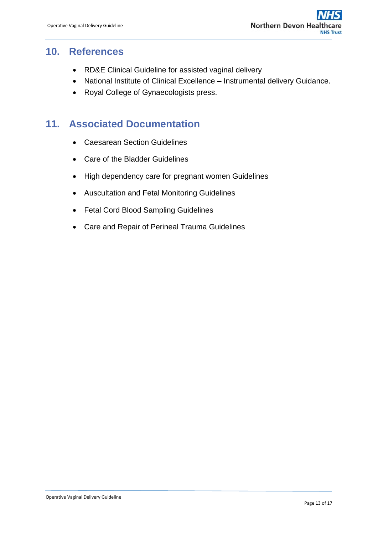## <span id="page-12-0"></span>**10. References**

- RD&E Clinical Guideline for assisted vaginal delivery
- National Institute of Clinical Excellence Instrumental delivery Guidance.
- Royal College of Gynaecologists press.

# <span id="page-12-1"></span>**11. Associated Documentation**

- Caesarean Section Guidelines
- Care of the Bladder Guidelines
- High dependency care for pregnant women Guidelines
- Auscultation and Fetal Monitoring Guidelines
- Fetal Cord Blood Sampling Guidelines
- Care and Repair of Perineal Trauma Guidelines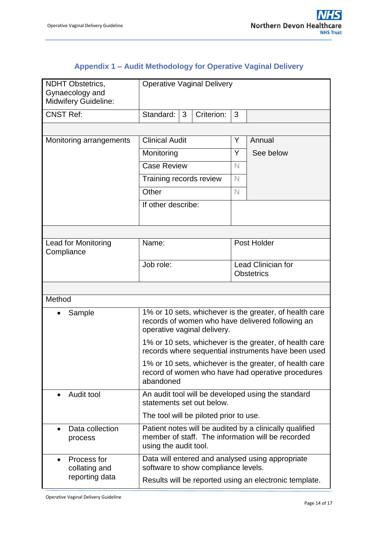# **Appendix 1 – Audit Methodology for Operative Vaginal Delivery**

<span id="page-13-0"></span>

| <b>NDHT Obstetrics,</b><br>Gynaecology and<br><b>Midwifery Guideline:</b>                                                 | <b>Operative Vaginal Delivery</b>                                                                                                     |            |                                         |                                                                                                                |  |
|---------------------------------------------------------------------------------------------------------------------------|---------------------------------------------------------------------------------------------------------------------------------------|------------|-----------------------------------------|----------------------------------------------------------------------------------------------------------------|--|
| <b>CNST Ref:</b>                                                                                                          | Standard:<br>3                                                                                                                        | Criterion: | 3                                       |                                                                                                                |  |
|                                                                                                                           |                                                                                                                                       |            |                                         |                                                                                                                |  |
| Monitoring arrangements                                                                                                   | <b>Clinical Audit</b>                                                                                                                 |            | Y                                       | Annual                                                                                                         |  |
|                                                                                                                           | Monitoring                                                                                                                            |            | Y                                       | See below                                                                                                      |  |
|                                                                                                                           | <b>Case Review</b>                                                                                                                    |            | $\mathbb N$                             |                                                                                                                |  |
|                                                                                                                           | Training records review                                                                                                               |            | $\mathbb N$                             |                                                                                                                |  |
|                                                                                                                           | Other                                                                                                                                 |            | $\mathbb N$                             |                                                                                                                |  |
|                                                                                                                           | If other describe:                                                                                                                    |            |                                         |                                                                                                                |  |
|                                                                                                                           |                                                                                                                                       |            |                                         |                                                                                                                |  |
| Lead for Monitoring<br>Compliance                                                                                         | Name:                                                                                                                                 |            | Post Holder                             |                                                                                                                |  |
|                                                                                                                           | Job role:                                                                                                                             |            | Lead Clinician for<br><b>Obstetrics</b> |                                                                                                                |  |
|                                                                                                                           |                                                                                                                                       |            |                                         |                                                                                                                |  |
| Method                                                                                                                    |                                                                                                                                       |            |                                         |                                                                                                                |  |
| Sample<br>$\bullet$                                                                                                       | operative vaginal delivery.                                                                                                           |            |                                         | 1% or 10 sets, whichever is the greater, of health care<br>records of women who have delivered following an    |  |
|                                                                                                                           |                                                                                                                                       |            |                                         | 1% or 10 sets, whichever is the greater, of health care<br>records where sequential instruments have been used |  |
| 1% or 10 sets, whichever is the greater, of health care<br>record of women who have had operative procedures<br>abandoned |                                                                                                                                       |            |                                         |                                                                                                                |  |
| Audit tool                                                                                                                | An audit tool will be developed using the standard<br>statements set out below.                                                       |            |                                         |                                                                                                                |  |
|                                                                                                                           | The tool will be piloted prior to use.                                                                                                |            |                                         |                                                                                                                |  |
| Data collection<br>process                                                                                                | Patient notes will be audited by a clinically qualified<br>member of staff. The information will be recorded<br>using the audit tool. |            |                                         |                                                                                                                |  |
| Process for<br>collating and                                                                                              | Data will entered and analysed using appropriate<br>software to show compliance levels.                                               |            |                                         |                                                                                                                |  |
| reporting data                                                                                                            | Results will be reported using an electronic template.                                                                                |            |                                         |                                                                                                                |  |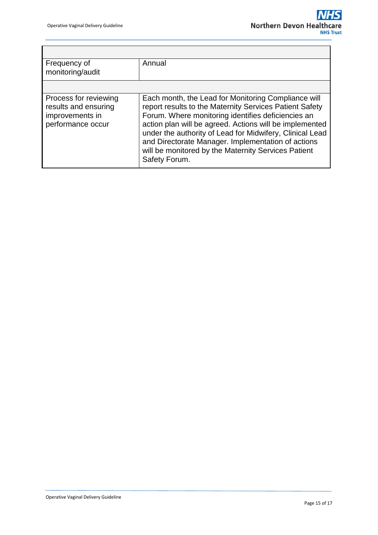Ť

7

<span id="page-14-0"></span>

| Frequency of<br>monitoring/audit                                                      | Annual                                                                                                                                                                                                                                                                                                                                                                                                                    |  |  |  |
|---------------------------------------------------------------------------------------|---------------------------------------------------------------------------------------------------------------------------------------------------------------------------------------------------------------------------------------------------------------------------------------------------------------------------------------------------------------------------------------------------------------------------|--|--|--|
|                                                                                       |                                                                                                                                                                                                                                                                                                                                                                                                                           |  |  |  |
| Process for reviewing<br>results and ensuring<br>improvements in<br>performance occur | Each month, the Lead for Monitoring Compliance will<br>report results to the Maternity Services Patient Safety<br>Forum. Where monitoring identifies deficiencies an<br>action plan will be agreed. Actions will be implemented<br>under the authority of Lead for Midwifery, Clinical Lead<br>and Directorate Manager. Implementation of actions<br>will be monitored by the Maternity Services Patient<br>Safety Forum. |  |  |  |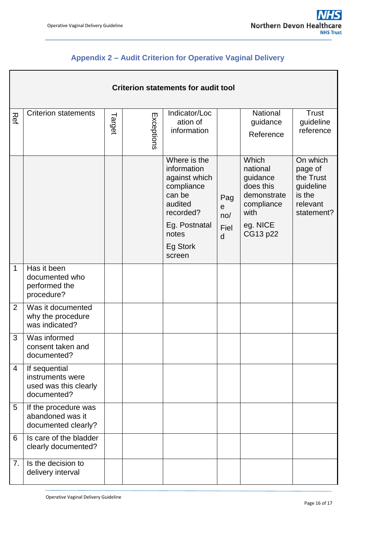┓

# <span id="page-15-0"></span>**Appendix 2 – Audit Criterion for Operative Vaginal Delivery**

|                | <b>Criterion statements for audit tool</b>                                |        |            |                                                                                                                                              |                                        |                                                                                                         |                                                                                   |  |  |  |
|----------------|---------------------------------------------------------------------------|--------|------------|----------------------------------------------------------------------------------------------------------------------------------------------|----------------------------------------|---------------------------------------------------------------------------------------------------------|-----------------------------------------------------------------------------------|--|--|--|
| Ref            | <b>Criterion statements</b>                                               | Target | Exceptions | Indicator/Loc<br>ation of<br>information                                                                                                     |                                        | National<br>guidance<br>Reference                                                                       | <b>Trust</b><br>guideline<br>reference                                            |  |  |  |
|                |                                                                           |        |            | Where is the<br>information<br>against which<br>compliance<br>can be<br>audited<br>recorded?<br>Eg. Postnatal<br>notes<br>Eg Stork<br>screen | Pag<br>$\mathbf e$<br>no/<br>Fiel<br>d | Which<br>national<br>guidance<br>does this<br>demonstrate<br>compliance<br>with<br>eg. NICE<br>CG13 p22 | On which<br>page of<br>the Trust<br>guideline<br>is the<br>relevant<br>statement? |  |  |  |
| 1              | Has it been<br>documented who<br>performed the<br>procedure?              |        |            |                                                                                                                                              |                                        |                                                                                                         |                                                                                   |  |  |  |
| $\overline{2}$ | Was it documented<br>why the procedure<br>was indicated?                  |        |            |                                                                                                                                              |                                        |                                                                                                         |                                                                                   |  |  |  |
| 3              | Was informed<br>consent taken and<br>documented?                          |        |            |                                                                                                                                              |                                        |                                                                                                         |                                                                                   |  |  |  |
| 4              | If sequential<br>instruments were<br>used was this clearly<br>documented? |        |            |                                                                                                                                              |                                        |                                                                                                         |                                                                                   |  |  |  |
| 5              | If the procedure was<br>abandoned was it<br>documented clearly?           |        |            |                                                                                                                                              |                                        |                                                                                                         |                                                                                   |  |  |  |
| 6              | Is care of the bladder<br>clearly documented?                             |        |            |                                                                                                                                              |                                        |                                                                                                         |                                                                                   |  |  |  |
| 7.             | Is the decision to<br>delivery interval                                   |        |            |                                                                                                                                              |                                        |                                                                                                         |                                                                                   |  |  |  |